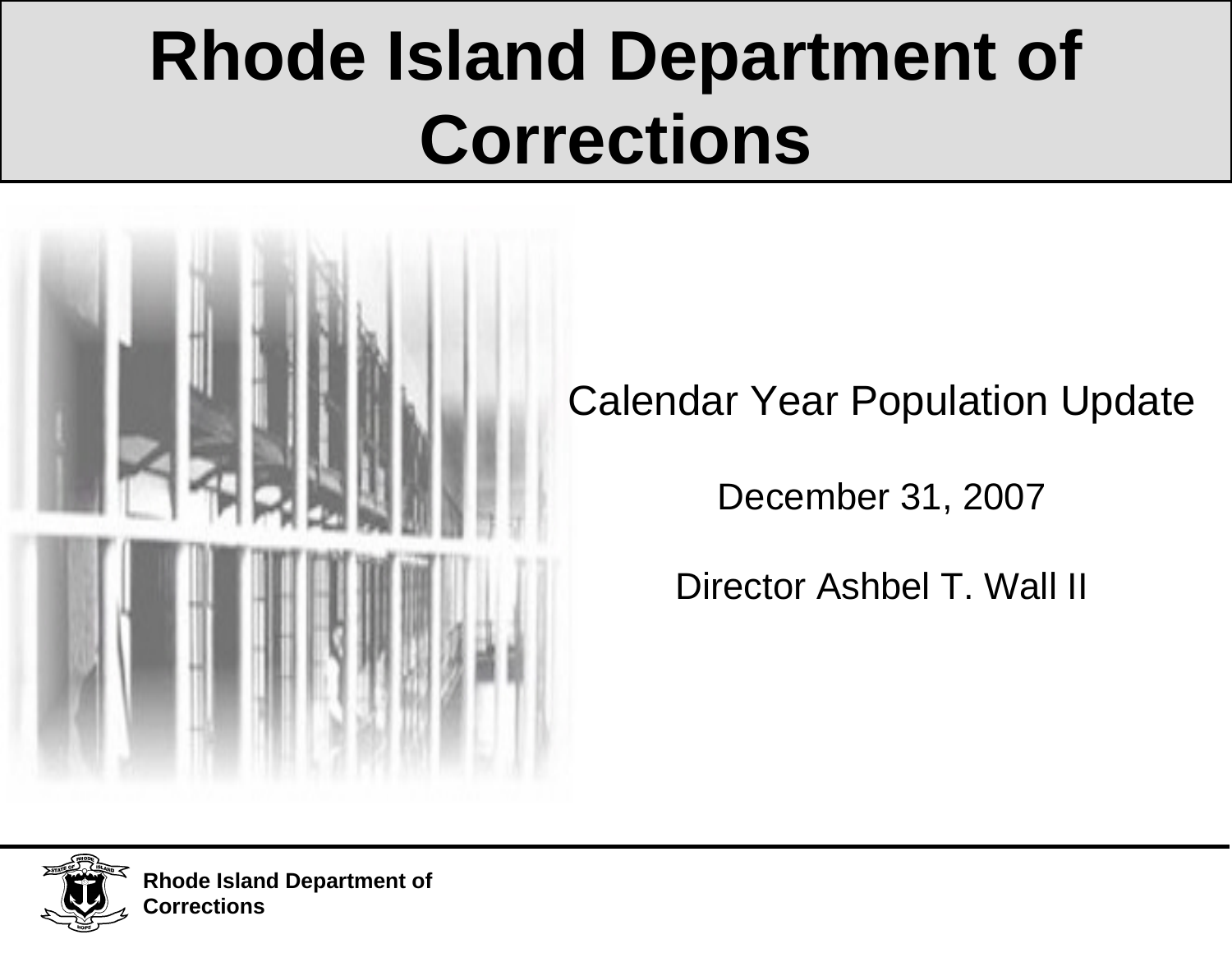# **Rhode Island Department of Corrections**



Calendar Year Population Update

December 31, 2007

Director Ashbel T. Wall II

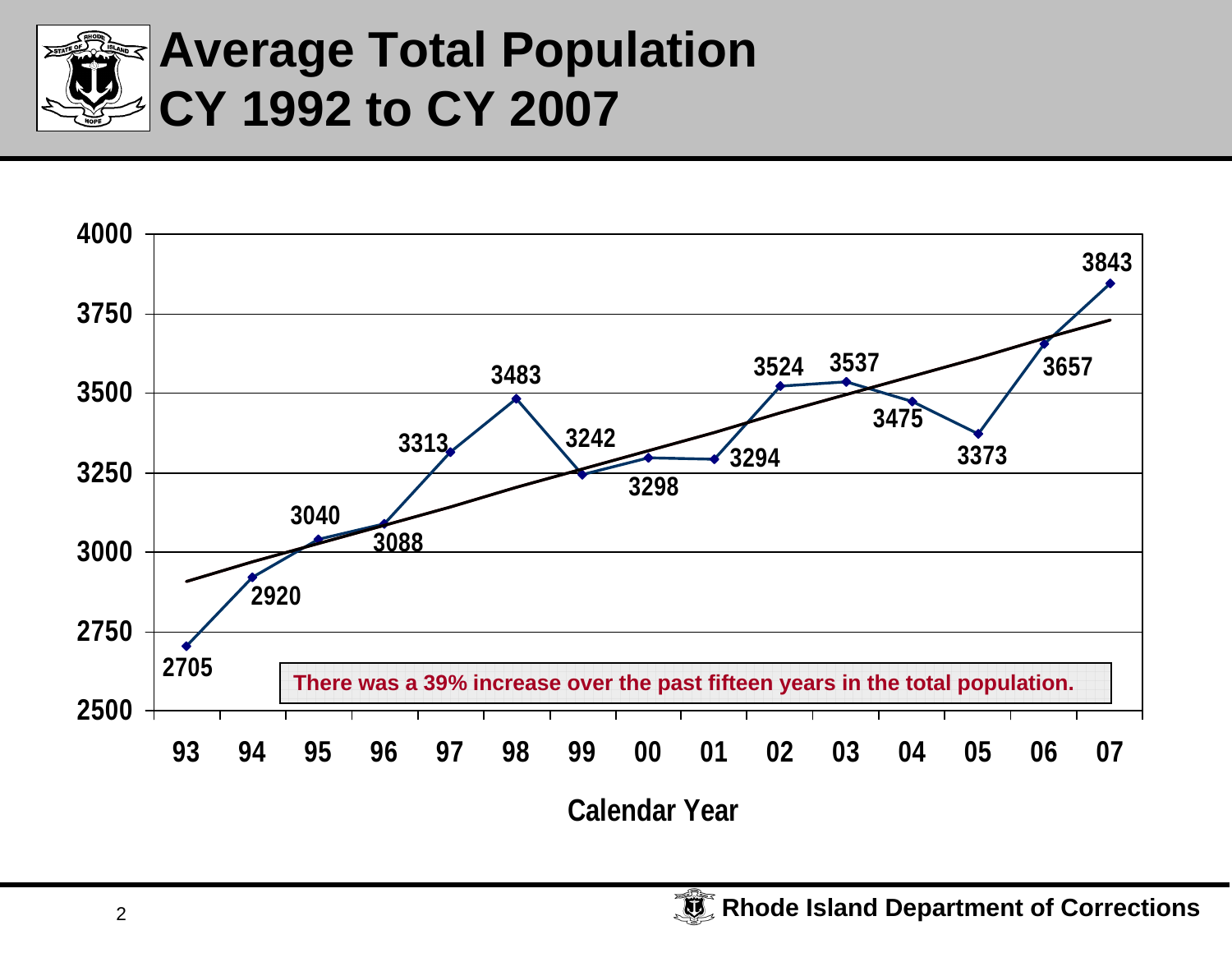

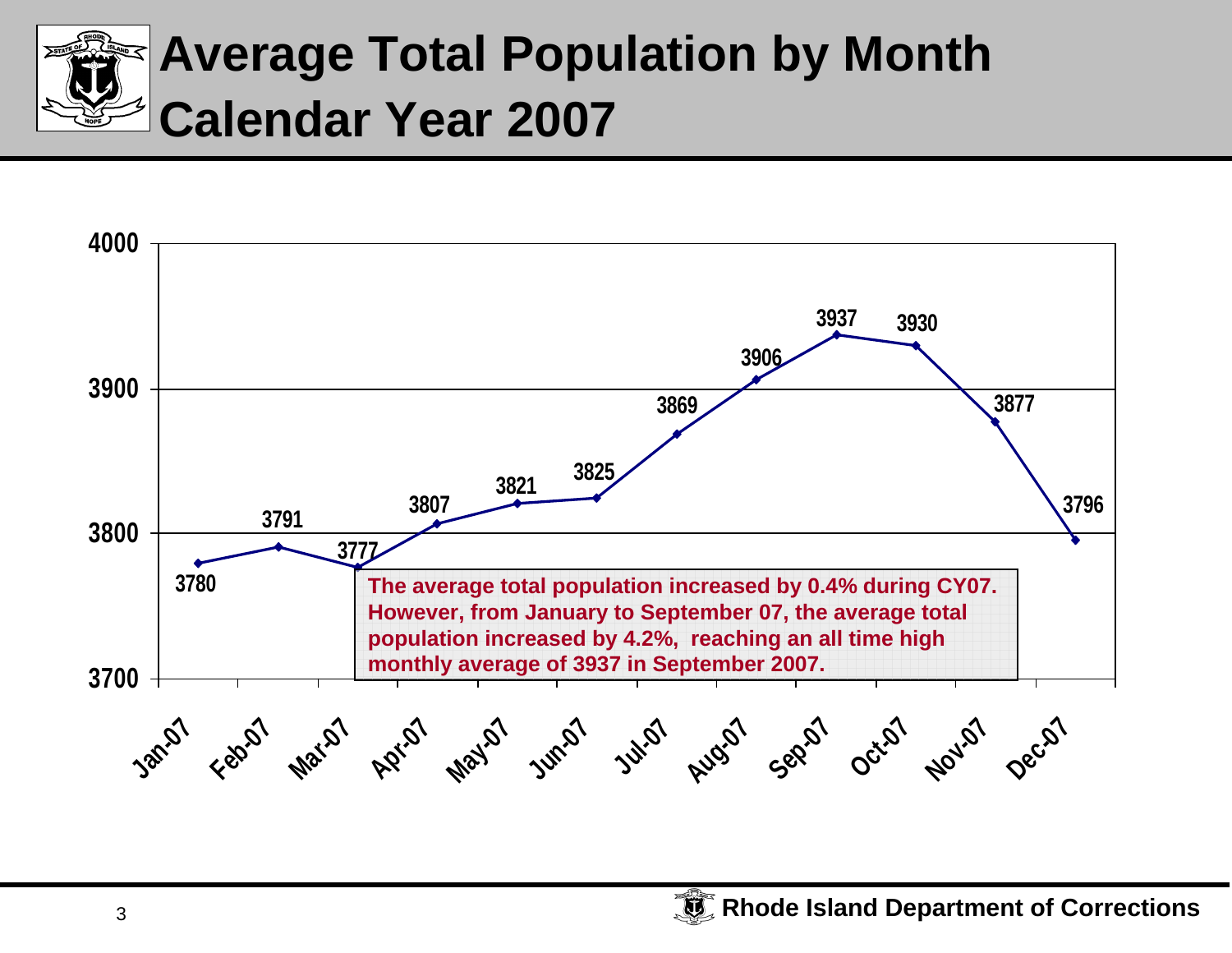

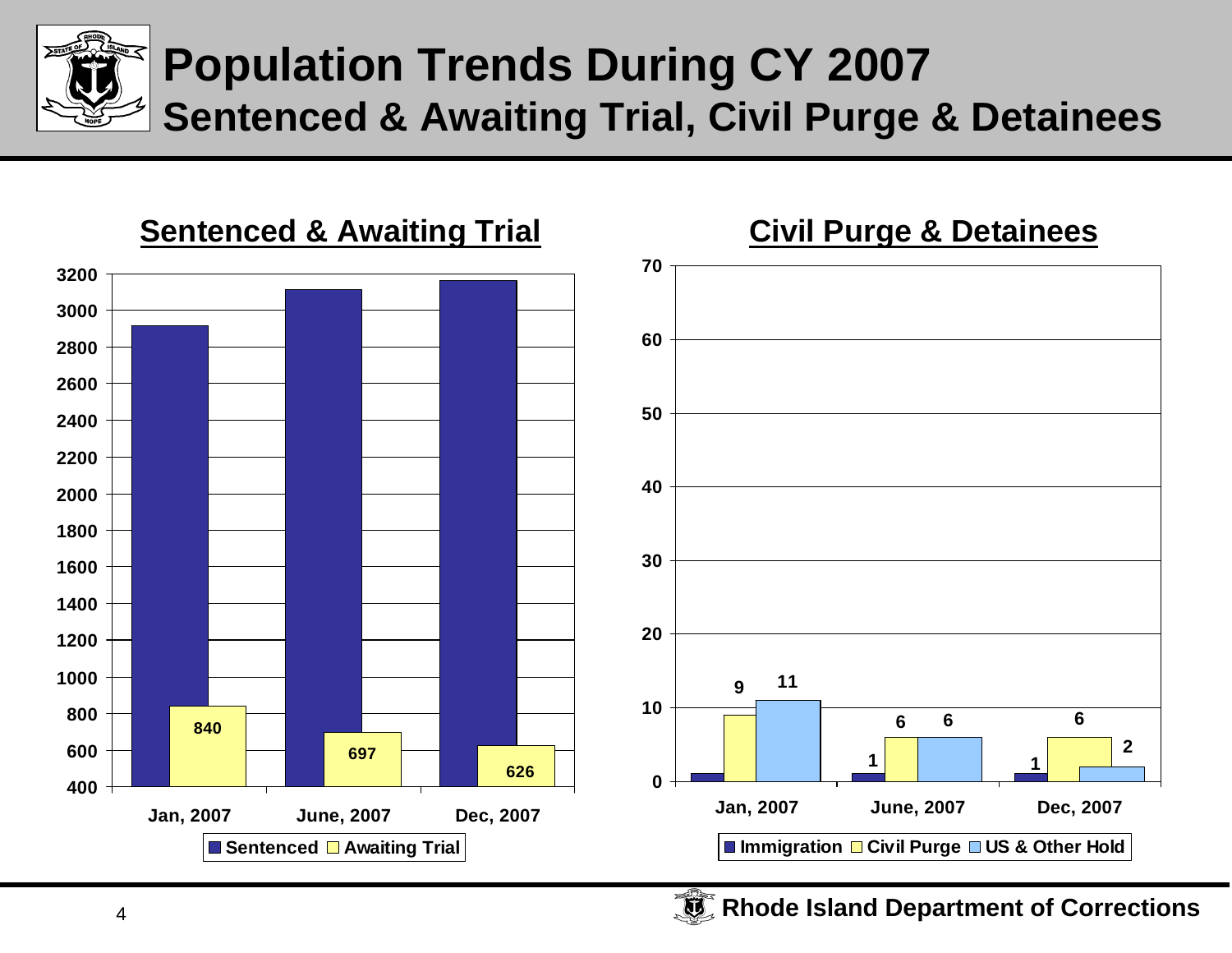

#### **Population Trends During CY 2007 Sentenced & Awaiting Trial, Civil Purge & Detainees**

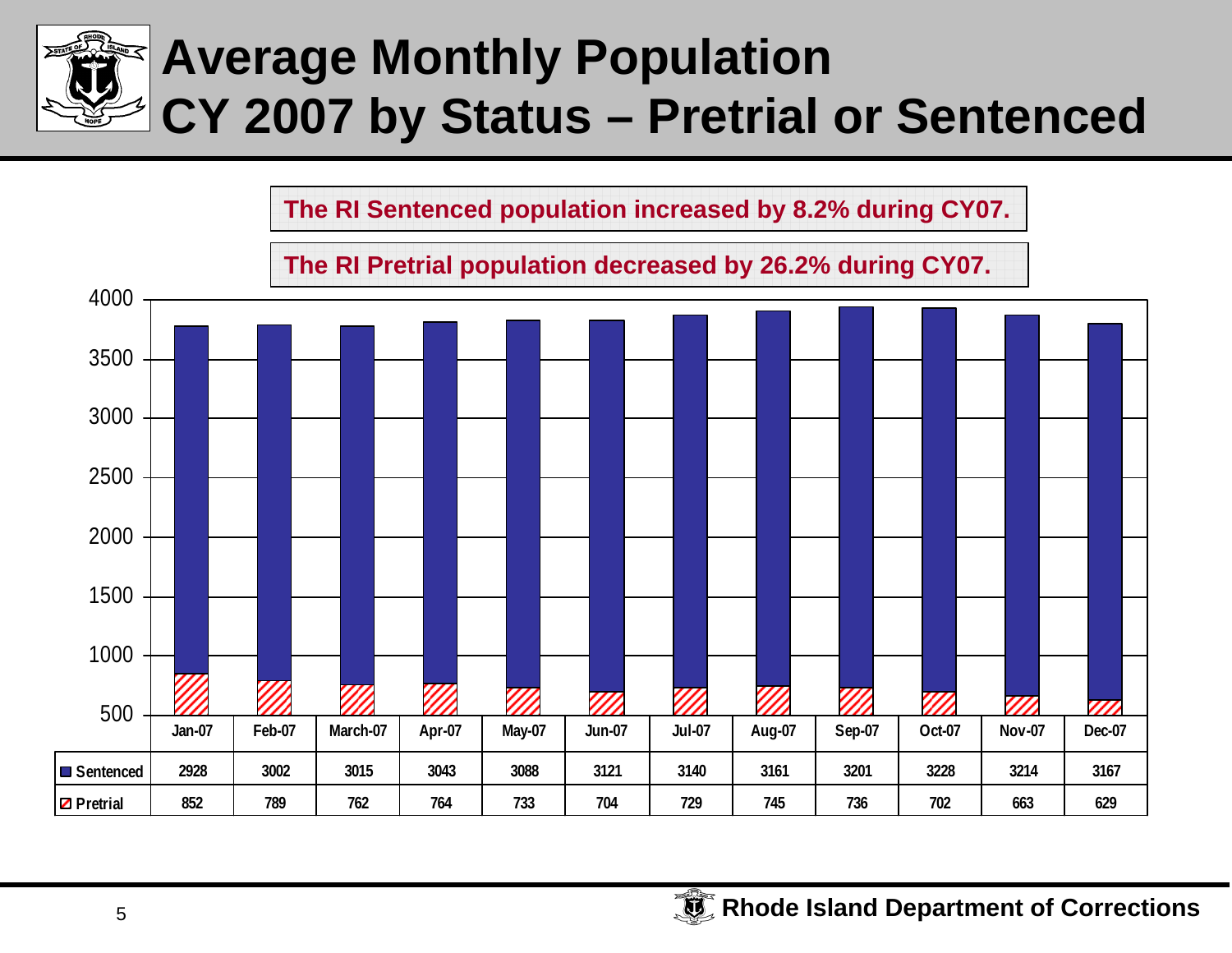

**The RI Sentenced population increased by 8.2% during CY07.**

**The RI Pretrial population decreased by 26.2% during CY07.**

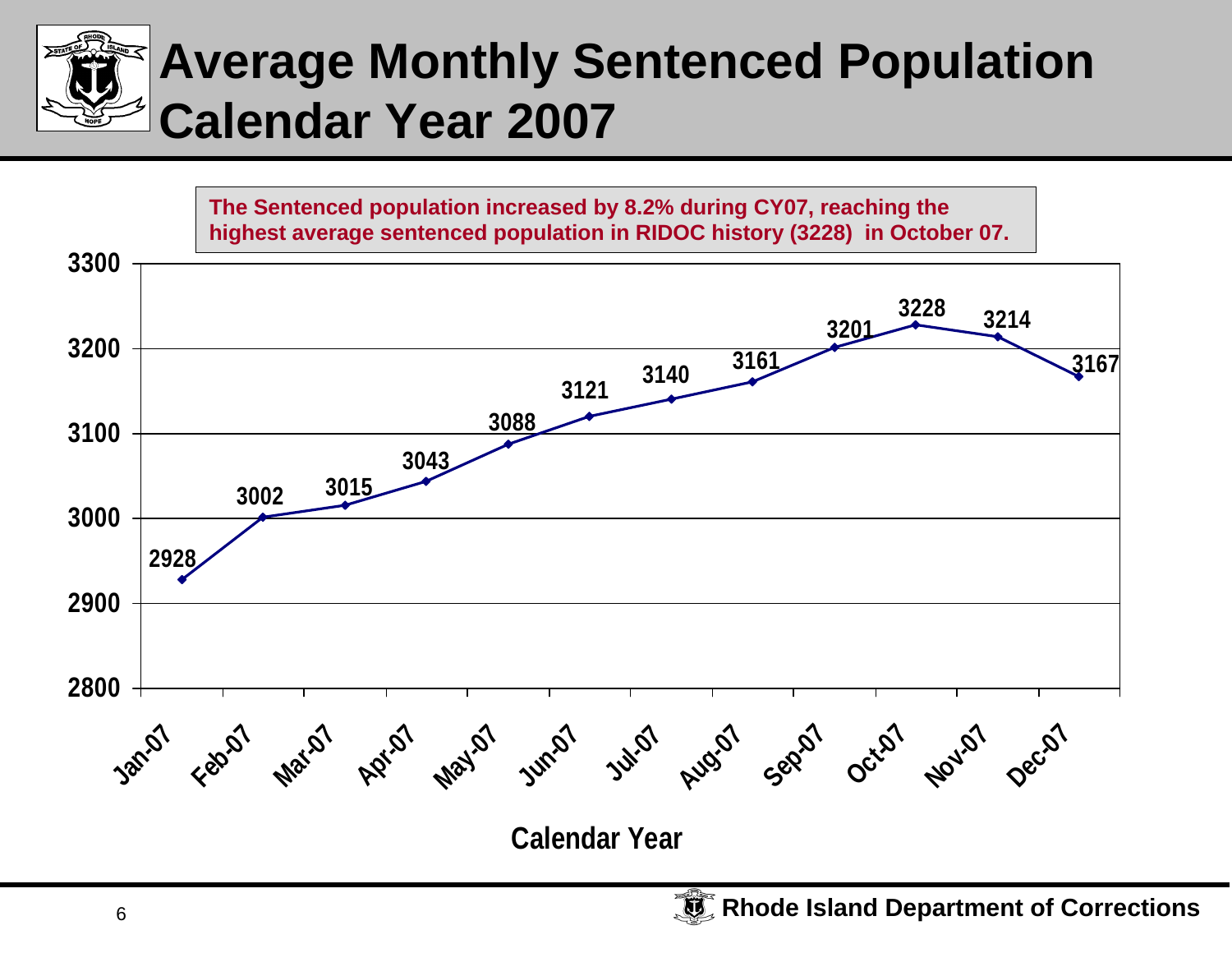

### **Average Monthly Sentenced Population Calendar Year 2007**

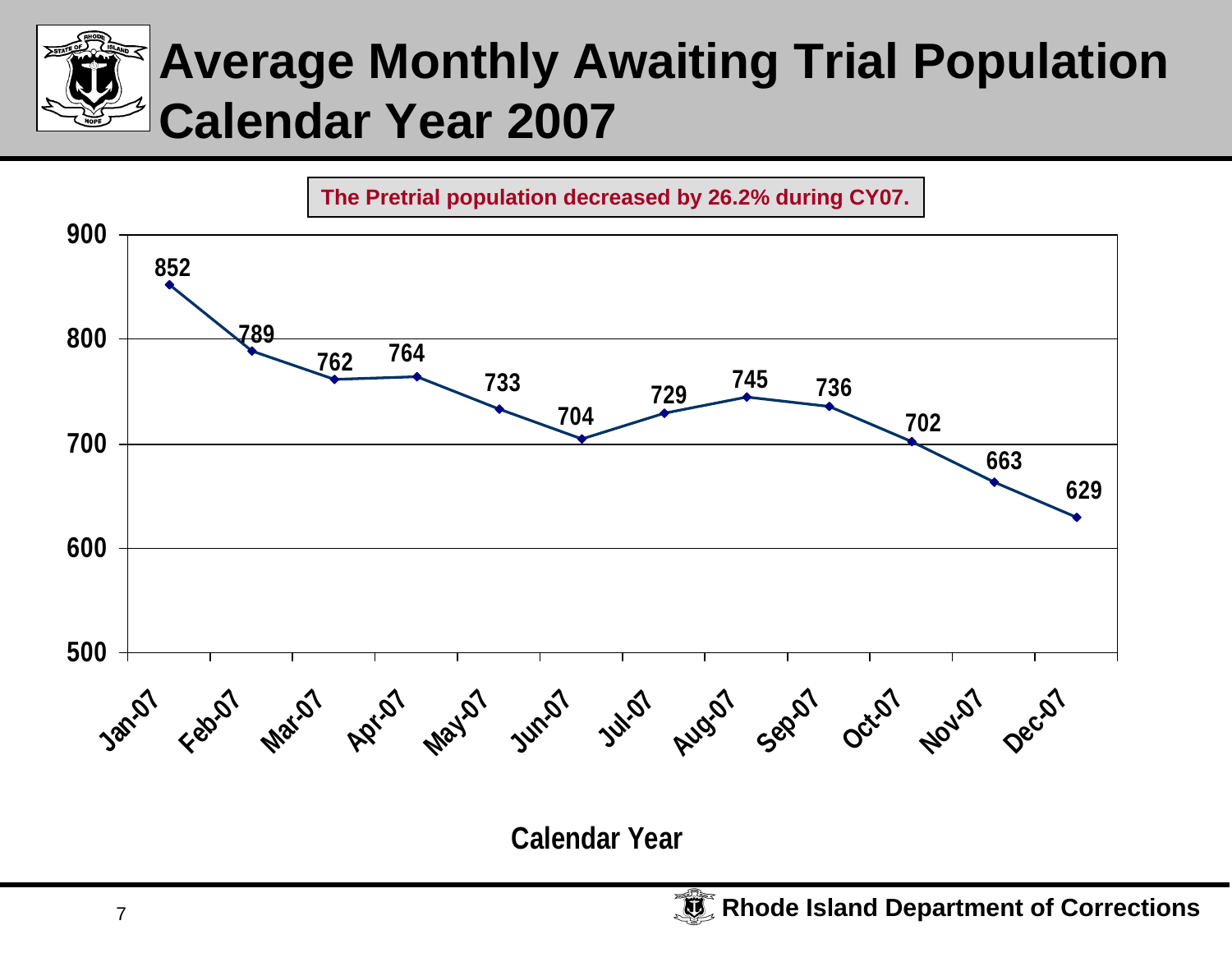## **Average Monthly Awaiting Trial Population Calendar Year 2007**



**Calendar Year**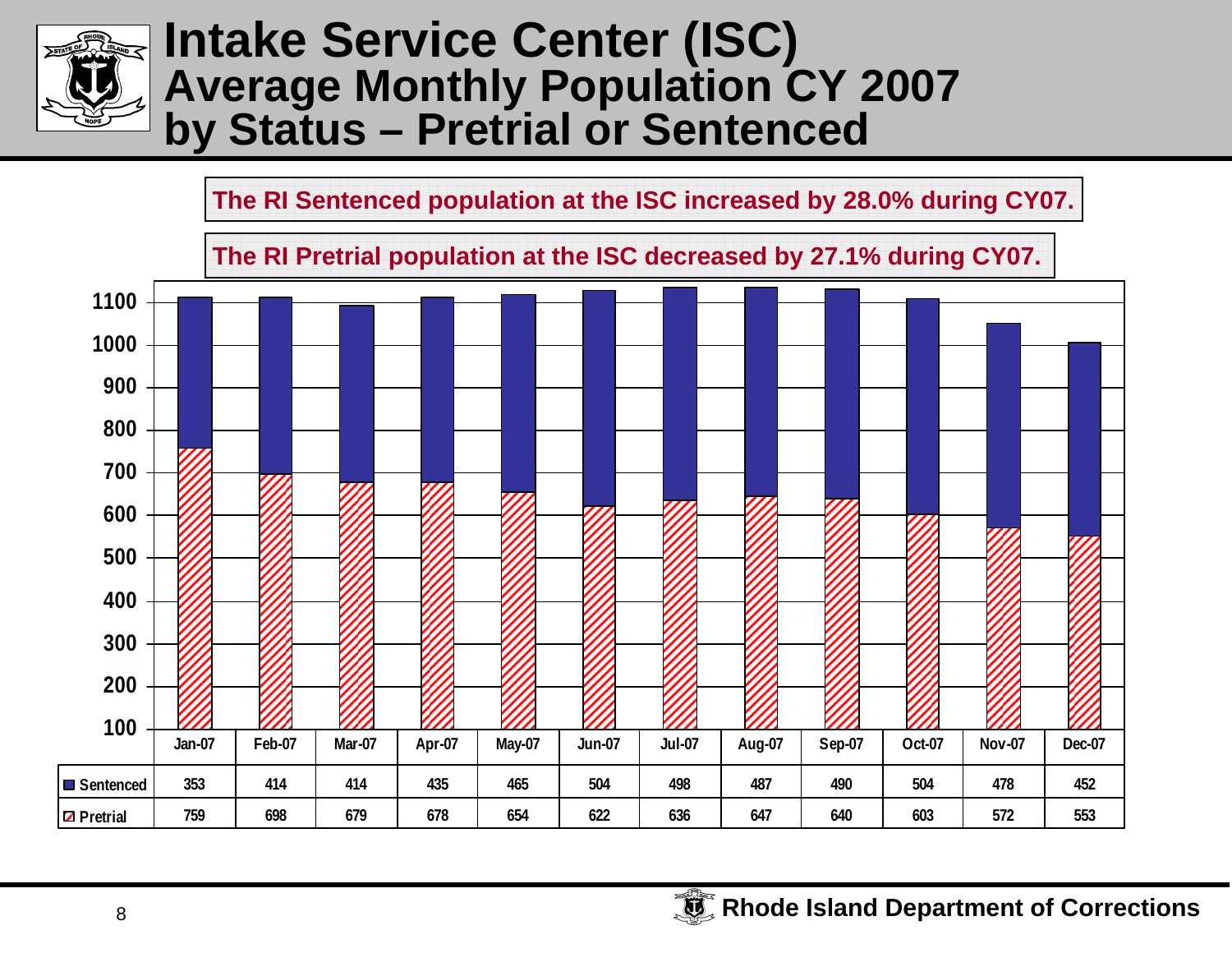

#### **Intake Service Center (ISC) Average Monthly Population CY 2007 by Status – Pretrial or Sentenced**

**The RI Sentenced population at the ISC increased by 28.0% during CY07.**

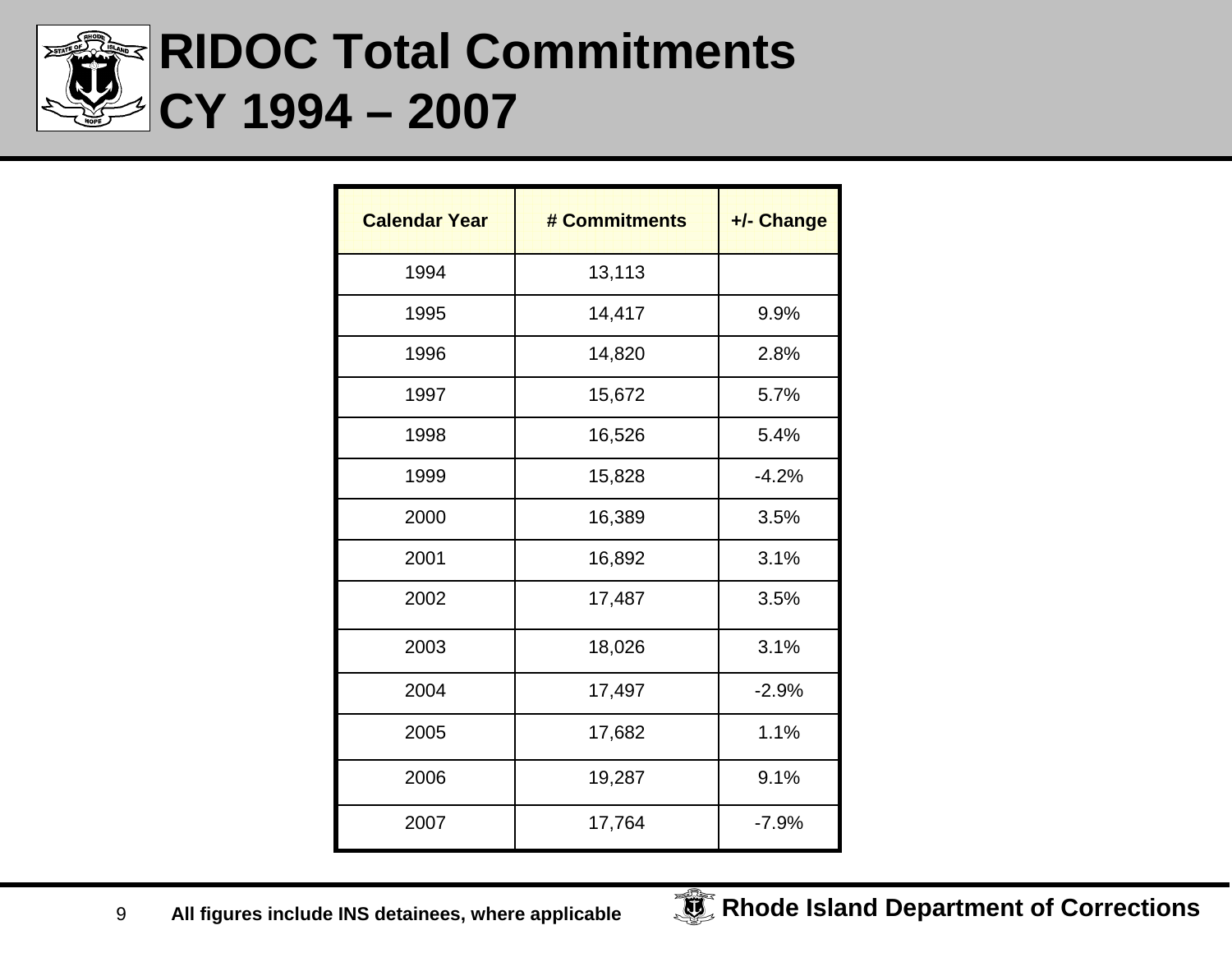

### **RIDOC Total Commitments CY 1994 – 2007**

| <b>Calendar Year</b> | # Commitments | +/- Change |
|----------------------|---------------|------------|
| 1994                 | 13,113        |            |
| 1995                 | 14,417        | 9.9%       |
| 1996                 | 14,820        | 2.8%       |
| 1997                 | 15,672        | 5.7%       |
| 1998                 | 16,526        | 5.4%       |
| 1999                 | 15,828        | $-4.2%$    |
| 2000                 | 16,389        | 3.5%       |
| 2001                 | 16,892        | 3.1%       |
| 2002                 | 17,487        | 3.5%       |
| 2003                 | 18,026        | 3.1%       |
| 2004                 | 17,497        | $-2.9%$    |
| 2005                 | 17,682        | 1.1%       |
| 2006                 | 19,287        | 9.1%       |
| 2007                 | 17,764        | $-7.9%$    |

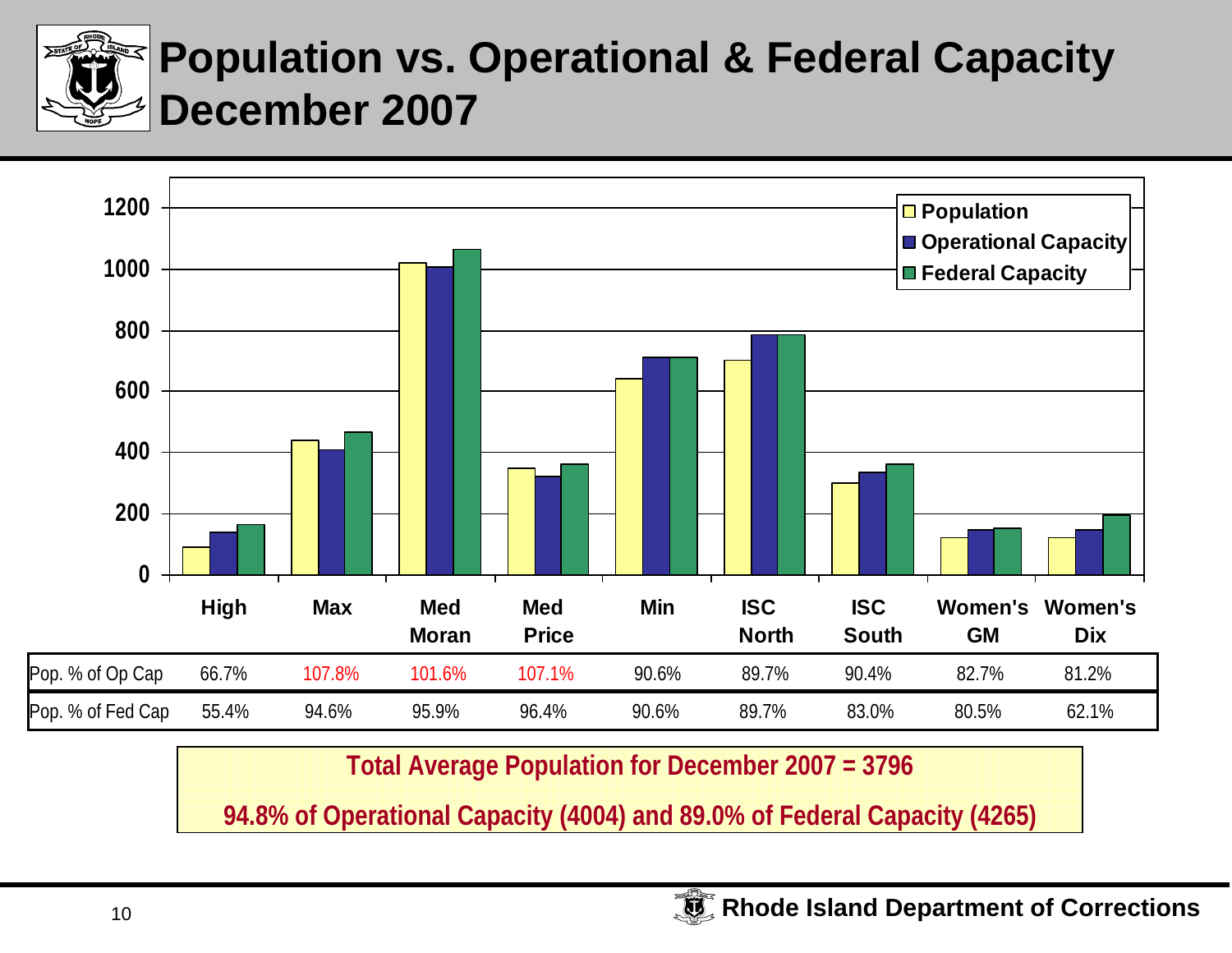

#### **Population vs. Operational & Federal Capacity December 2007**



**Total Average Population for December 2007 = 3796**

**94.8% of Operational Capacity (4004) and 89.0% of Federal Capacity (4265)**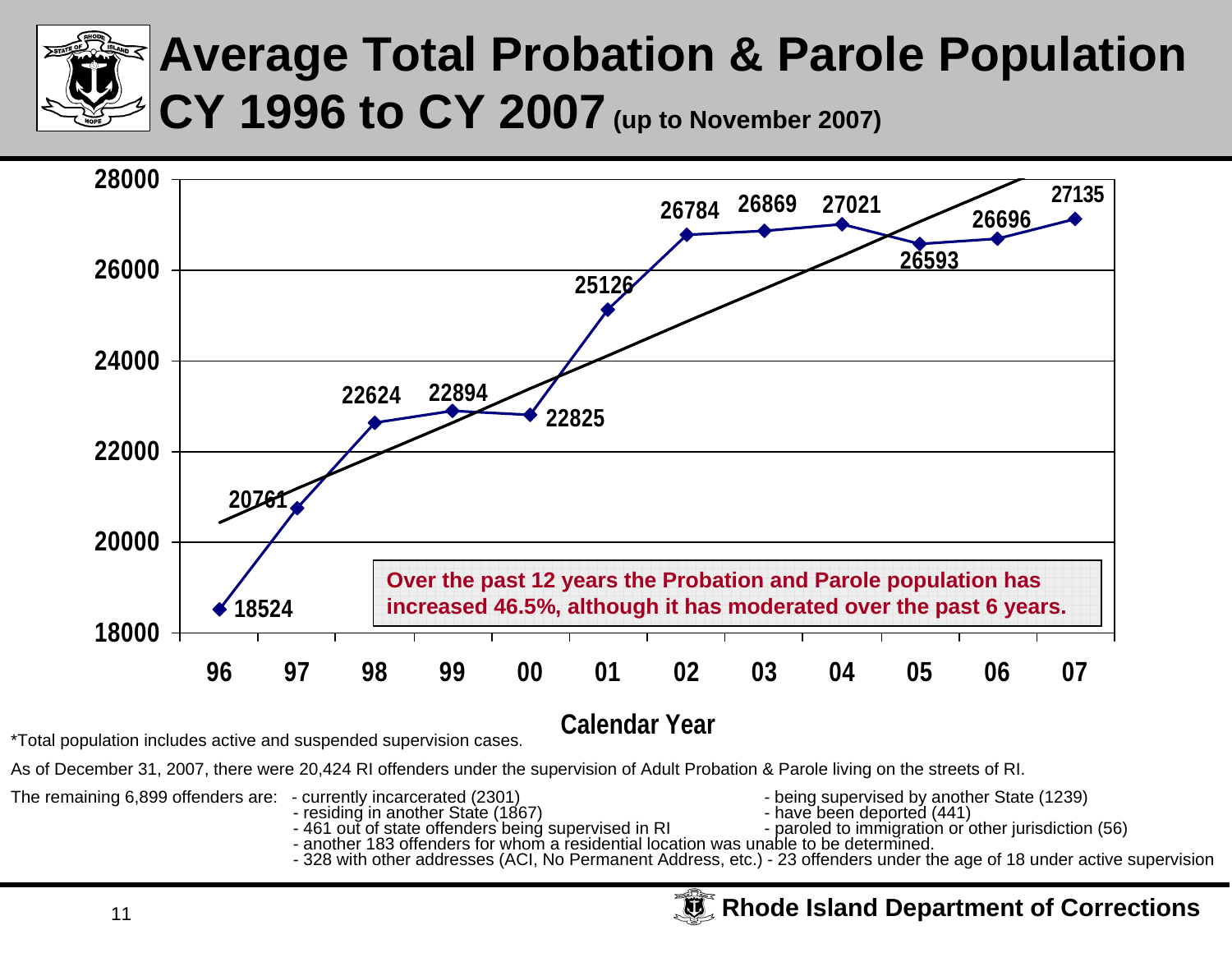

### **Average Total Probation & Parole Population CY 1996 to CY 2007 (up to November 2007)**



#### **Calendar Year**

\*Total population includes active and suspended supervision cases.

As of December 31, 2007, there were 20,424 RI offenders under the supervision of Adult Probation & Parole living on the streets of RI.

The remaining 6,899 offenders are: - currently incarcerated (2301) - being supervised by another State (1239)

- 
- 
- 
- 
- 
- 
- residing in another State (1867)<br>- 461 out of state offenders being supervised in RI reprofed to immigration or other jurisdiction (56)<br>- another 183 offenders for whom a residential location was unable to be determined.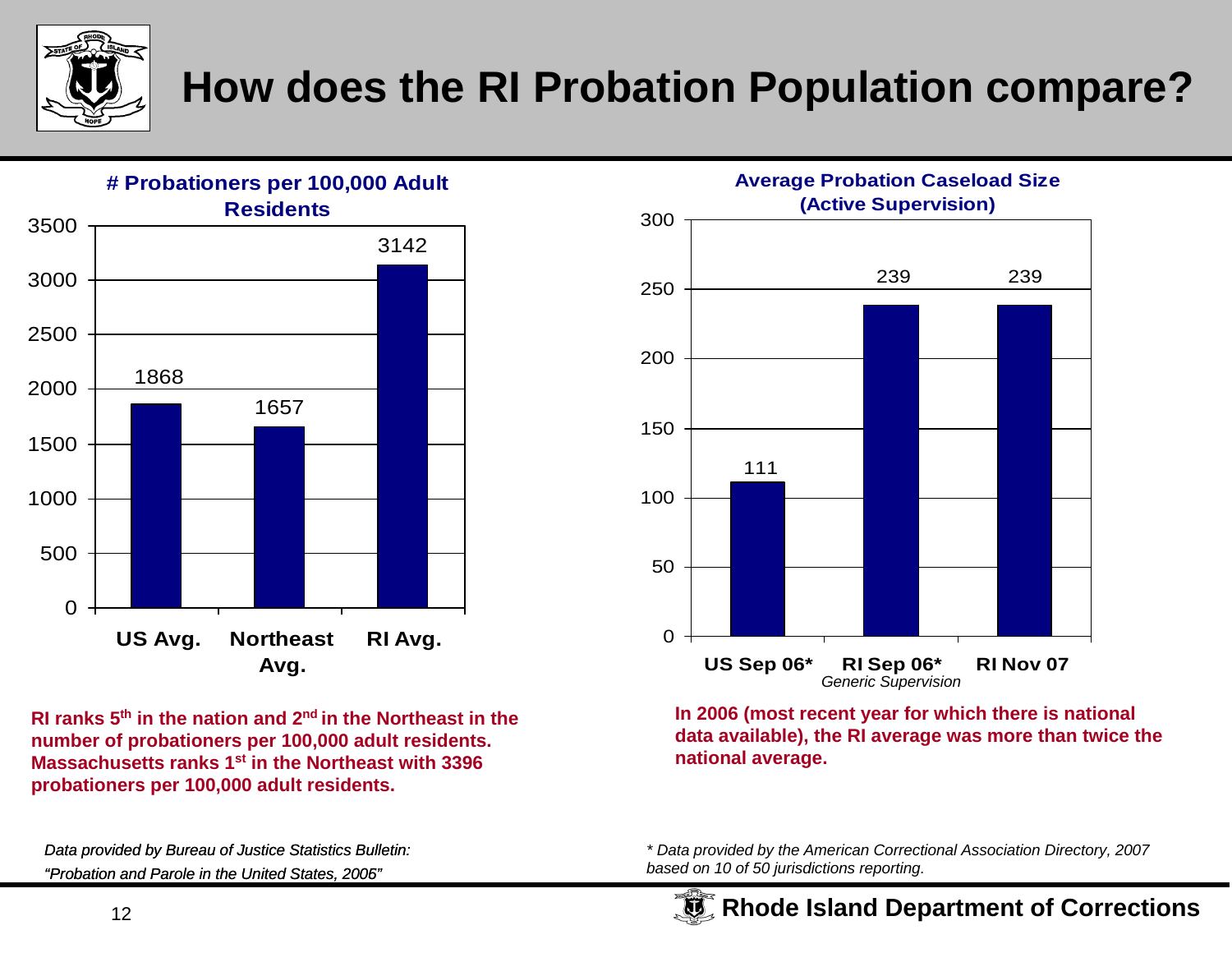

#### **How does the RI Probation Population compare?**



**RI ranks 5<sup>th</sup> in the nation and 2<sup>nd</sup> in the Northeast in the number of probationers per 100,000 adult residents.<br>Massachusetts ranks 1<sup>st</sup> in the Northeast with 3396<br>probationers per 100,000 adult residents.<br>Data provid number of probationers per 100,000 adult residents. Massachusetts ranks 1st in the Northeast with 3396 probationers per 100,000 adult residents.** 

*Data provided by Bureau of Justice Statistics Bulletin: "Probation and Parole in the United States, 2005"*



**In 2006 (most recent year for which there is national data available), the RI average was more than twice the national average.** 

*\* Data provided by the American Correctional Association Directory, 2007 based on 10 of 50 jurisdictions reporting.*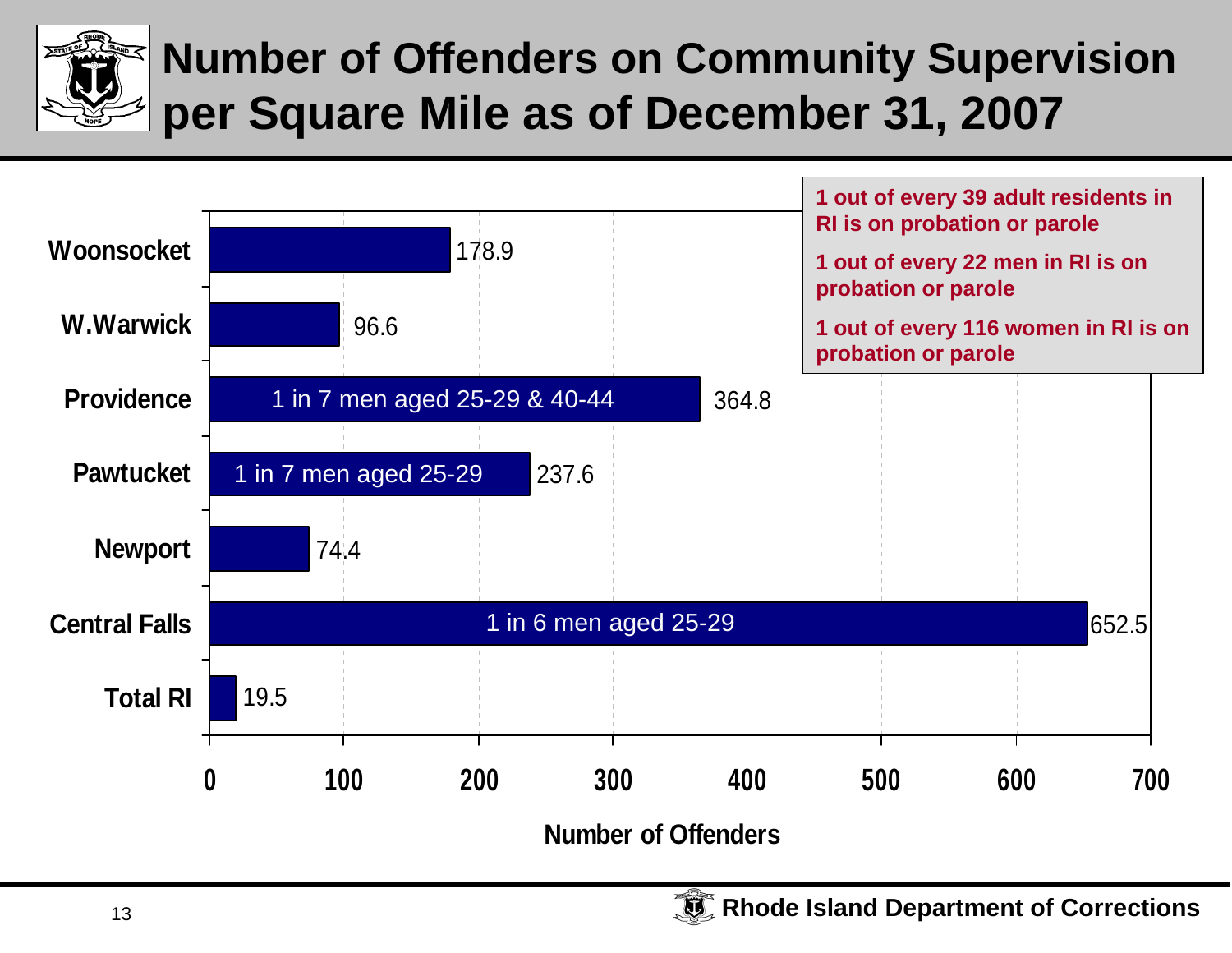

#### **Number of Offenders on Community Supervision per Square Mile as of December 31, 2007**

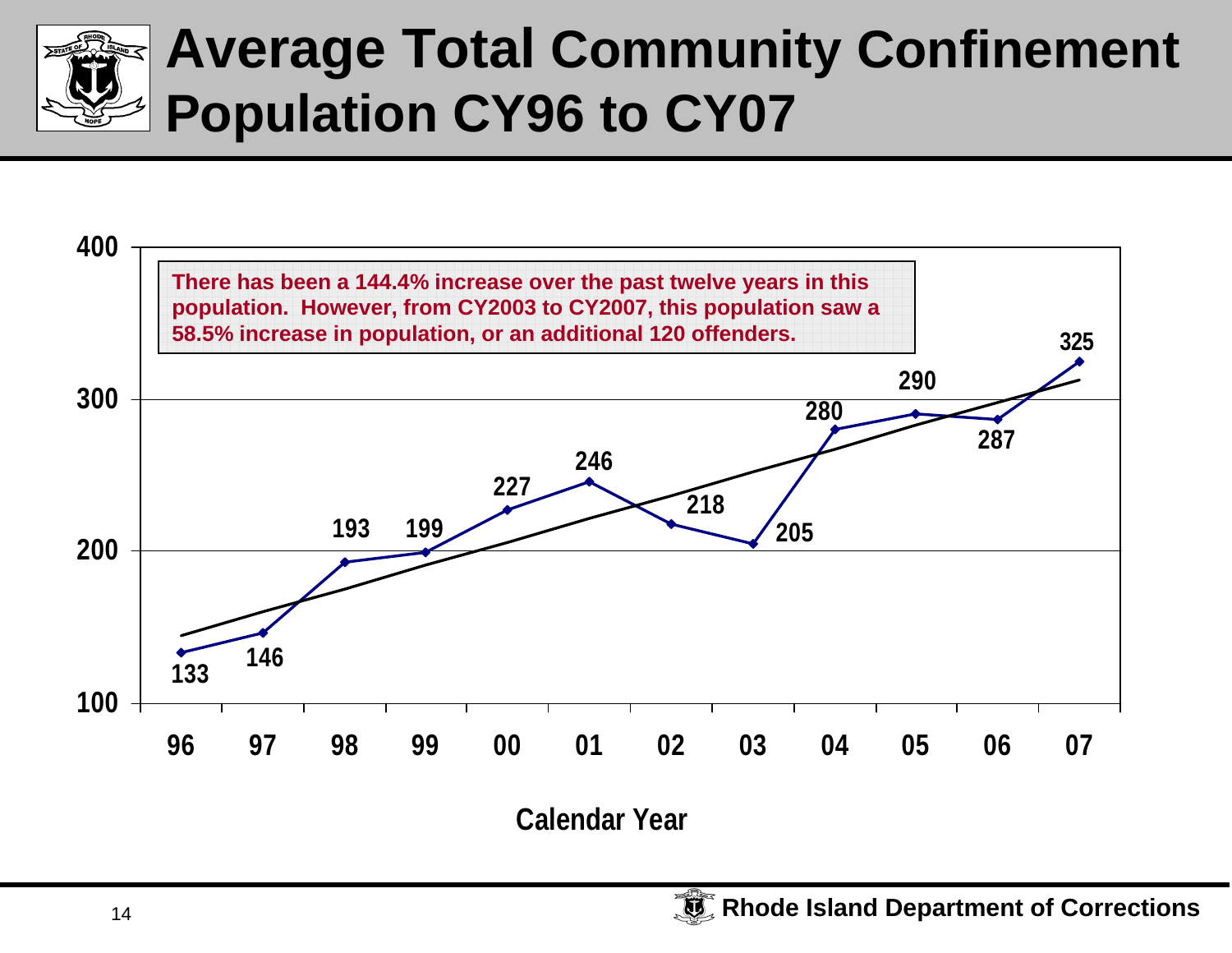

### **Average Total Community Confinement Population CY96 to CY07**